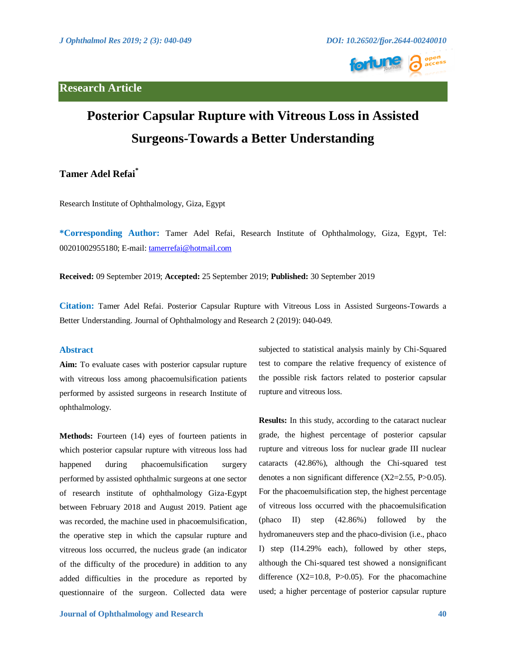# **Research Article**



# **Posterior Capsular Rupture with Vitreous Loss in Assisted Surgeons-Towards a Better Understanding**

**Tamer Adel Refai\***

Research Institute of Ophthalmology, Giza, Egypt

**\*Corresponding Author:** Tamer Adel Refai, Research Institute of Ophthalmology, Giza, Egypt, Tel: 00201002955180; E-mail: <tamerrefai@hotmail.com>

**Received:** 09 September 2019; **Accepted:** 25 September 2019; **Published:** 30 September 2019

**Citation:** Tamer Adel Refai. Posterior Capsular Rupture with Vitreous Loss in Assisted Surgeons-Towards a Better Understanding. Journal of Ophthalmology and Research 2 (2019): 040-049.

# **Abstract**

**Aim:** To evaluate cases with posterior capsular rupture with vitreous loss among phacoemulsification patients performed by assisted surgeons in research Institute of ophthalmology.

**Methods:** Fourteen (14) eyes of fourteen patients in which posterior capsular rupture with vitreous loss had happened during phacoemulsification surgery performed by assisted ophthalmic surgeons at one sector of research institute of ophthalmology Giza-Egypt between February 2018 and August 2019. Patient age was recorded, the machine used in phacoemulsification, the operative step in which the capsular rupture and vitreous loss occurred, the nucleus grade (an indicator of the difficulty of the procedure) in addition to any added difficulties in the procedure as reported by questionnaire of the surgeon. Collected data were subjected to statistical analysis mainly by Chi-Squared test to compare the relative frequency of existence of the possible risk factors related to posterior capsular rupture and vitreous loss.

**Results:** In this study, according to the cataract nuclear grade, the highest percentage of posterior capsular rupture and vitreous loss for nuclear grade III nuclear cataracts (42.86%), although the Chi-squared test denotes a non significant difference (X2=2.55, P>0.05). For the phacoemulsification step, the highest percentage of vitreous loss occurred with the phacoemulsification (phaco II) step (42.86%) followed by the hydromaneuvers step and the phaco-division (i.e., phaco I) step (I14.29% each), followed by other steps, although the Chi-squared test showed a nonsignificant difference  $(X2=10.8, P>0.05)$ . For the phacomachine used; a higher percentage of posterior capsular rupture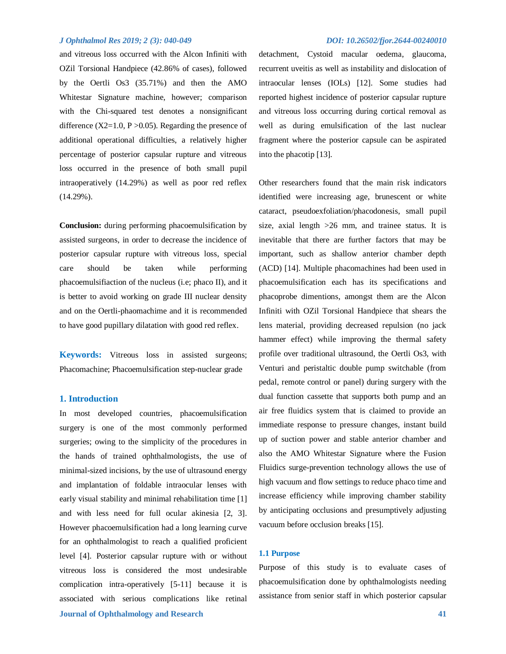and vitreous loss occurred with the Alcon Infiniti with OZil Torsional Handpiece (42.86% of cases), followed by the Oertli Os3 (35.71%) and then the AMO Whitestar Signature machine, however; comparison with the Chi-squared test denotes a nonsignificant difference  $(X2=1.0, P > 0.05)$ . Regarding the presence of additional operational difficulties, a relatively higher percentage of posterior capsular rupture and vitreous loss occurred in the presence of both small pupil intraoperatively (14.29%) as well as poor red reflex (14.29%).

**Conclusion:** during performing phacoemulsification by assisted surgeons, in order to decrease the incidence of posterior capsular rupture with vitreous loss, special care should be taken while performing phacoemulsifiaction of the nucleus (i.e; phaco II), and it is better to avoid working on grade III nuclear density and on the Oertli-phaomachime and it is recommended to have good pupillary dilatation with good red reflex.

**Keywords:** Vitreous loss in assisted surgeons; Phacomachine; Phacoemulsification step-nuclear grade

### **1. Introduction**

In most developed countries, phacoemulsification surgery is one of the most commonly performed surgeries; owing to the simplicity of the procedures in the hands of trained ophthalmologists, the use of minimal-sized incisions, by the use of ultrasound energy and implantation of foldable intraocular lenses with early visual stability and minimal rehabilitation time [1] and with less need for full ocular akinesia [2, 3]. However phacoemulsification had a long learning curve for an ophthalmologist to reach a qualified proficient level [4]. Posterior capsular rupture with or without vitreous loss is considered the most undesirable complication intra-operatively [5-11] because it is associated with serious complications like retinal

# *J Ophthalmol Res 2019; 2 (3): 040-049 DOI: 10.26502/fjor.2644-00240010*

detachment, Cystoid macular oedema, glaucoma, recurrent uveitis as well as instability and dislocation of intraocular lenses (IOLs) [12]. Some studies had reported highest incidence of posterior capsular rupture and vitreous loss occurring during cortical removal as well as during emulsification of the last nuclear fragment where the posterior capsule can be aspirated into the phacotip [13].

Other researchers found that the main risk indicators identified were increasing age, brunescent or white cataract, pseudoexfoliation/phacodonesis, small pupil size, axial length >26 mm, and trainee status. It is inevitable that there are further factors that may be important, such as shallow anterior chamber depth (ACD) [14]. Multiple phacomachines had been used in phacoemulsification each has its specifications and phacoprobe dimentions, amongst them are the Alcon Infiniti with OZil Torsional Handpiece that shears the lens material, providing decreased repulsion (no jack hammer effect) while improving the thermal safety profile over traditional ultrasound, the Oertli Os3, with Venturi and peristaltic double pump switchable (from pedal, remote control or panel) during surgery with the dual function cassette that supports both pump and an air free fluidics system that is claimed to provide an immediate response to pressure changes, instant build up of suction power and stable anterior chamber and also the AMO Whitestar Signature where the Fusion Fluidics surge-prevention technology allows the use of high vacuum and flow settings to reduce phaco time and increase efficiency while improving chamber stability by anticipating occlusions and presumptively adjusting vacuum before occlusion breaks [15].

#### **1.1 Purpose**

Purpose of this study is to evaluate cases of phacoemulsification done by ophthalmologists needing assistance from senior staff in which posterior capsular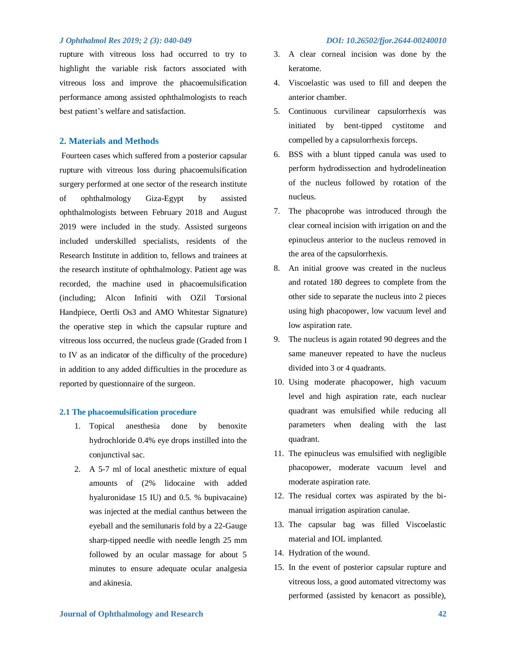rupture with vitreous loss had occurred to try to highlight the variable risk factors associated with vitreous loss and improve the phacoemulsification performance among assisted ophthalmologists to reach best patient's welfare and satisfaction.

# **2. Materials and Methods**

Fourteen cases which suffered from a posterior capsular rupture with vitreous loss during phacoemulsification surgery performed at one sector of the research institute of ophthalmology Giza-Egypt by assisted ophthalmologists between February 2018 and August 2019 were included in the study. Assisted surgeons included underskilled specialists, residents of the Research Institute in addition to, fellows and trainees at the research institute of ophthalmology. Patient age was recorded, the machine used in phacoemulsification (including; Alcon Infiniti with OZil Torsional Handpiece, Oertli Os3 and AMO Whitestar Signature) the operative step in which the capsular rupture and vitreous loss occurred, the nucleus grade (Graded from I to IV as an indicator of the difficulty of the procedure) in addition to any added difficulties in the procedure as reported by questionnaire of the surgeon.

#### **2.1 The phacoemulsification procedure**

- 1. Topical anesthesia done by benoxite hydrochloride 0.4% eye drops instilled into the conjunctival sac.
- 2. A 5-7 ml of local anesthetic mixture of equal amounts of (2% lidocaine with added hyaluronidase 15 IU) and 0.5. % bupivacaine) was injected at the medial canthus between the eyeball and the semilunaris fold by a 22-Gauge sharp-tipped needle with needle length 25 mm followed by an ocular massage for about 5 minutes to ensure adequate ocular analgesia and akinesia.
- 3. A clear corneal incision was done by the keratome.
- 4. Viscoelastic was used to fill and deepen the anterior chamber.
- 5. Continuous curvilinear capsulorrhexis was initiated by bent-tipped cystitome and compelled by a capsulorrhexis forceps.
- 6. BSS with a blunt tipped canula was used to perform hydrodissection and hydrodelineation of the nucleus followed by rotation of the nucleus.
- 7. The phacoprobe was introduced through the clear corneal incision with irrigation on and the epinucleus anterior to the nucleus removed in the area of the capsulorrhexis.
- 8. An initial groove was created in the nucleus and rotated 180 degrees to complete from the other side to separate the nucleus into 2 pieces using high phacopower, low vacuum level and low aspiration rate.
- 9. The nucleus is again rotated 90 degrees and the same maneuver repeated to have the nucleus divided into 3 or 4 quadrants.
- 10. Using moderate phacopower, high vacuum level and high aspiration rate, each nuclear quadrant was emulsified while reducing all parameters when dealing with the last quadrant.
- 11. The epinucleus was emulsified with negligible phacopower, moderate vacuum level and moderate aspiration rate.
- 12. The residual cortex was aspirated by the bimanual irrigation aspiration canulae.
- 13. The capsular bag was filled Viscoelastic material and IOL implanted.
- 14. Hydration of the wound.
- 15. In the event of posterior capsular rupture and vitreous loss, a good automated vitrectomy was performed (assisted by kenacort as possible),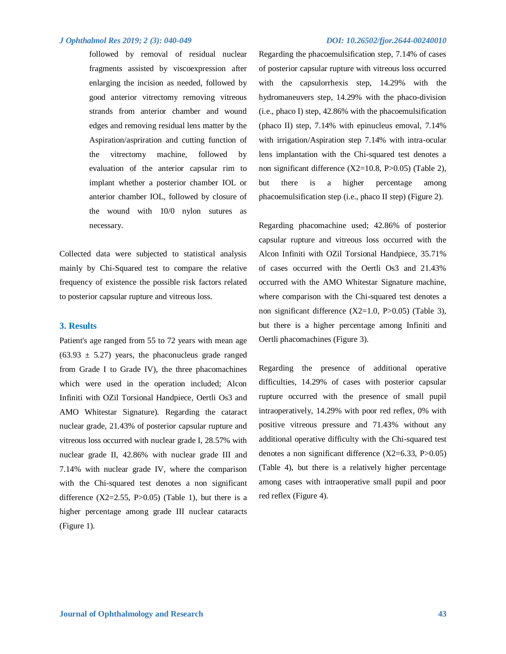followed by removal of residual nuclear fragments assisted by viscoexpression after enlarging the incision as needed, followed by good anterior vitrectomy removing vitreous strands from anterior chamber and wound edges and removing residual lens matter by the Aspiration/aspriration and cutting function of the vitrectomy machine, followed by evaluation of the anterior capsular rim to implant whether a posterior chamber IOL or anterior chamber IOL, followed by closure of the wound with 10/0 nylon sutures as necessary.

Collected data were subjected to statistical analysis mainly by Chi-Squared test to compare the relative frequency of existence the possible risk factors related to posterior capsular rupture and vitreous loss.

### **3. Results**

Patient's age ranged from 55 to 72 years with mean age  $(63.93 \pm 5.27)$  years, the phaconucleus grade ranged from Grade I to Grade IV), the three phacomachines which were used in the operation included; Alcon Infiniti with OZil Torsional Handpiece, Oertli Os3 and AMO Whitestar Signature). Regarding the cataract nuclear grade, 21.43% of posterior capsular rupture and vitreous loss occurred with nuclear grade I, 28.57% with nuclear grade II, 42.86% with nuclear grade III and 7.14% with nuclear grade IV, where the comparison with the Chi-squared test denotes a non significant difference  $(X2=2.55, P>0.05)$  (Table 1), but there is a higher percentage among grade III nuclear cataracts (Figure 1).

Regarding the phacoemulsification step, 7.14% of cases of posterior capsular rupture with vitreous loss occurred with the capsulorrhexis step, 14.29% with the hydromaneuvers step, 14.29% with the phaco-division (i.e., phaco I) step, 42.86% with the phacoemulsification (phaco II) step, 7.14% with epinucleus emoval, 7.14% with irrigation/Aspiration step 7.14% with intra-ocular lens implantation with the Chi-squared test denotes a non significant difference (X2=10.8, P>0.05) (Table 2), but there is a higher percentage among phacoemulsification step (i.e., phaco II step) (Figure 2).

Regarding phacomachine used; 42.86% of posterior capsular rupture and vitreous loss occurred with the Alcon Infiniti with OZil Torsional Handpiece, 35.71% of cases occurred with the Oertli Os3 and 21.43% occurred with the AMO Whitestar Signature machine, where comparison with the Chi-squared test denotes a non significant difference  $(X2=1.0, P>0.05)$  (Table 3), but there is a higher percentage among Infiniti and Oertli phacomachines (Figure 3).

Regarding the presence of additional operative difficulties, 14.29% of cases with posterior capsular rupture occurred with the presence of small pupil intraoperatively, 14.29% with poor red reflex, 0% with positive vitreous pressure and 71.43% without any additional operative difficulty with the Chi-squared test denotes a non significant difference (X2=6.33, P>0.05) (Table 4), but there is a relatively higher percentage among cases with intraoperative small pupil and poor red reflex (Figure 4).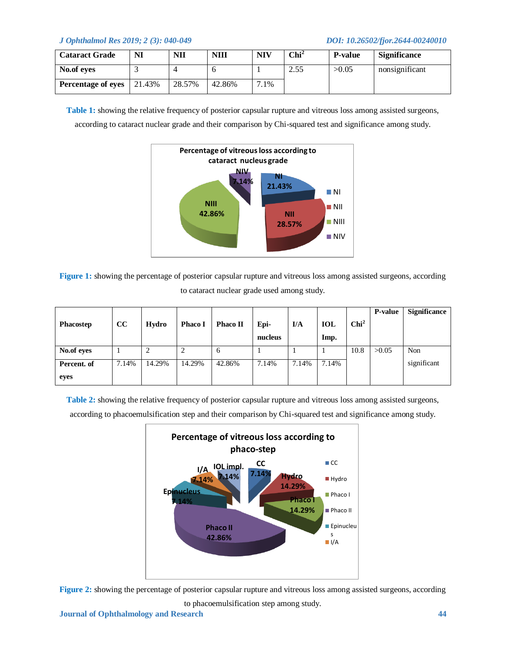| <b>Cataract Grade</b>     | NI     | NII    | <b>NIII</b> | <b>NIV</b>  | $\mathbf{Chi}^2$ | <b>P-value</b> | <b>Significance</b> |
|---------------------------|--------|--------|-------------|-------------|------------------|----------------|---------------------|
| No.of eves                |        |        |             |             | 2.55             | >0.05          | nonsignificant      |
| <b>Percentage of eyes</b> | 21.43% | 28.57% | 42.86%      | $.1\%$<br>⇁ |                  |                |                     |

**Table 1:** showing the relative frequency of posterior capsular rupture and vitreous loss among assisted surgeons, according to cataract nuclear grade and their comparison by Chi-squared test and significance among study.



**Figure 1:** showing the percentage of posterior capsular rupture and vitreous loss among assisted surgeons, according to cataract nuclear grade used among study.

|             |       |        |                |              |         |       |            |                  | P-value | <b>Significance</b> |
|-------------|-------|--------|----------------|--------------|---------|-------|------------|------------------|---------|---------------------|
| Phacostep   | cc    | Hydro  | <b>Phaco I</b> | Phaco II     | Epi-    | I/A   | <b>IOL</b> | Chi <sup>2</sup> |         |                     |
|             |       |        |                |              | nucleus |       | Imp.       |                  |         |                     |
| No.of eyes  |       | ∠      | 2              | <sub>6</sub> |         |       |            | 10.8             | >0.05   | Non                 |
| Percent. of | 7.14% | 14.29% | 14.29%         | 42.86%       | 7.14%   | 7.14% | 7.14%      |                  |         | significant         |
| eyes        |       |        |                |              |         |       |            |                  |         |                     |

**Table 2:** showing the relative frequency of posterior capsular rupture and vitreous loss among assisted surgeons,

according to phacoemulsification step and their comparison by Chi-squared test and significance among study.



**Figure 2:** showing the percentage of posterior capsular rupture and vitreous loss among assisted surgeons, according to phacoemulsification step among study.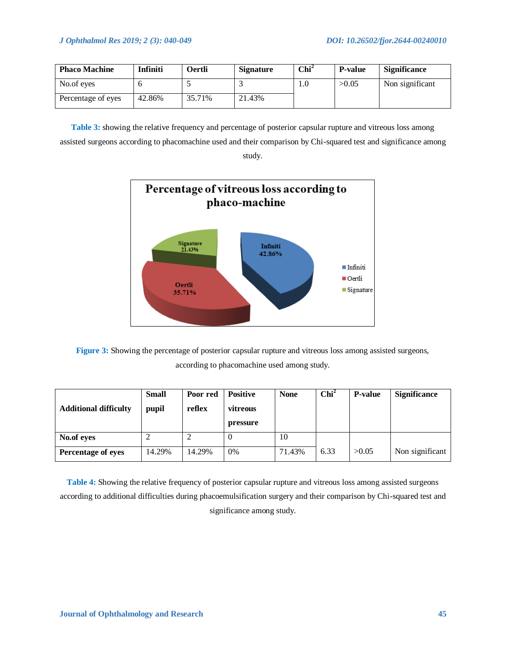| <b>Phaco Machine</b> | Infiniti | Oertli | <b>Signature</b> | $\mathbf{Chi}^2$ | <b>P-value</b> | <b>Significance</b> |
|----------------------|----------|--------|------------------|------------------|----------------|---------------------|
| No.of eyes           |          |        |                  | 1.0              | >0.05          | Non significant     |
| Percentage of eyes   | 42.86%   | 35.71% | 21.43%           |                  |                |                     |

**Table 3:** showing the relative frequency and percentage of posterior capsular rupture and vitreous loss among assisted surgeons according to phacomachine used and their comparison by Chi-squared test and significance among study.



**Figure 3:** Showing the percentage of posterior capsular rupture and vitreous loss among assisted surgeons, according to phacomachine used among study.

| <b>Additional difficulty</b> | <b>Small</b><br>pupil | Poor red<br>reflex | <b>Positive</b><br>vitreous<br>pressure | <b>None</b> | Chi <sup>2</sup> | <b>P-value</b> | <b>Significance</b> |
|------------------------------|-----------------------|--------------------|-----------------------------------------|-------------|------------------|----------------|---------------------|
| No.of eyes                   |                       | ∸                  | 0                                       | 10          |                  |                |                     |
| Percentage of eyes           | 14.29%                | 14.29%             | 0%                                      | 71.43%      | 6.33             | >0.05          | Non significant     |

**Table 4:** Showing the relative frequency of posterior capsular rupture and vitreous loss among assisted surgeons according to additional difficulties during phacoemulsification surgery and their comparison by Chi-squared test and significance among study.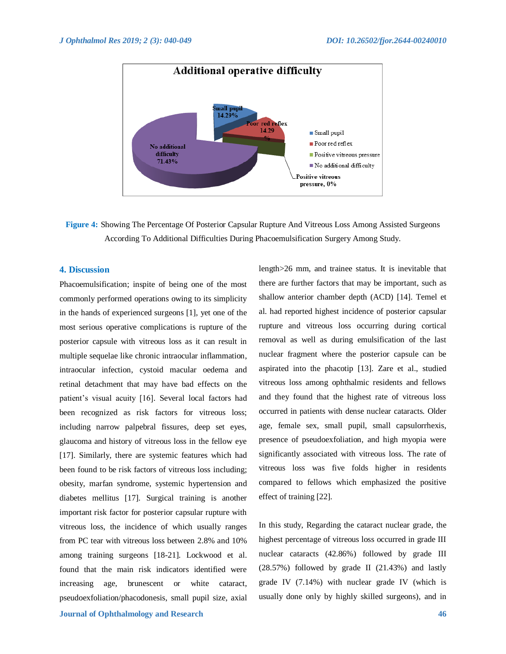

**Figure 4:** Showing The Percentage Of Posterior Capsular Rupture And Vitreous Loss Among Assisted Surgeons According To Additional Difficulties During Phacoemulsification Surgery Among Study.

# **4. Discussion**

Phacoemulsification; inspite of being one of the most commonly performed operations owing to its simplicity in the hands of experienced surgeons [1], yet one of the most serious operative complications is rupture of the posterior capsule with vitreous loss as it can result in multiple sequelae like chronic intraocular inflammation, intraocular infection, cystoid macular oedema and retinal detachment that may have bad effects on the patient's visual acuity [16]. Several local factors had been recognized as risk factors for vitreous loss; including narrow palpebral fissures, deep set eyes, glaucoma and history of vitreous loss in the fellow eye [17]. Similarly, there are systemic features which had been found to be risk factors of vitreous loss including; obesity, marfan syndrome, systemic hypertension and diabetes mellitus [17]. Surgical training is another important risk factor for posterior capsular rupture with vitreous loss, the incidence of which usually ranges from PC tear with vitreous loss between 2.8% and 10% among training surgeons [18-21]. Lockwood et al. found that the main risk indicators identified were increasing age, brunescent or white cataract, pseudoexfoliation/phacodonesis, small pupil size, axial there are further factors that may be important, such as shallow anterior chamber depth (ACD) [14]. Temel et al. had reported highest incidence of posterior capsular rupture and vitreous loss occurring during cortical removal as well as during emulsification of the last nuclear fragment where the posterior capsule can be aspirated into the phacotip [13]. Zare et al., studied vitreous loss among ophthalmic residents and fellows and they found that the highest rate of vitreous loss occurred in patients with dense nuclear cataracts. Older age, female sex, small pupil, small capsulorrhexis, presence of pseudoexfoliation, and high myopia were significantly associated with vitreous loss. The rate of vitreous loss was five folds higher in residents compared to fellows which emphasized the positive effect of training [22].

length>26 mm, and trainee status. It is inevitable that

In this study, Regarding the cataract nuclear grade, the highest percentage of vitreous loss occurred in grade III nuclear cataracts (42.86%) followed by grade III (28.57%) followed by grade II (21.43%) and lastly grade IV (7.14%) with nuclear grade IV (which is usually done only by highly skilled surgeons), and in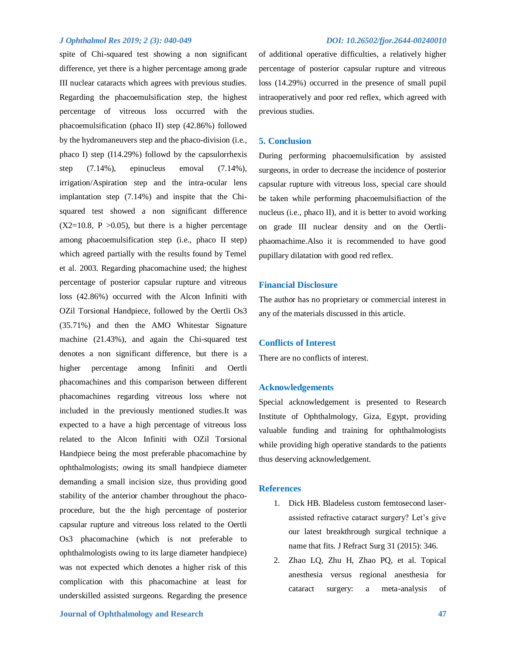spite of Chi-squared test showing a non significant difference, yet there is a higher percentage among grade III nuclear cataracts which agrees with previous studies. Regarding the phacoemulsification step, the highest percentage of vitreous loss occurred with the phacoemulsification (phaco II) step (42.86%) followed by the hydromaneuvers step and the phaco-division (i.e., phaco I) step (I14.29%) followd by the capsulorrhexis step (7.14%), epinucleus emoval (7.14%), irrigation/Aspiration step and the intra-ocular lens implantation step (7.14%) and inspite that the Chisquared test showed a non significant difference  $(X2=10.8, P > 0.05)$ , but there is a higher percentage among phacoemulsification step (i.e., phaco II step) which agreed partially with the results found by Temel et al. 2003. Regarding phacomachine used; the highest percentage of posterior capsular rupture and vitreous loss (42.86%) occurred with the Alcon Infiniti with OZil Torsional Handpiece, followed by the Oertli Os3 (35.71%) and then the AMO Whitestar Signature machine (21.43%), and again the Chi-squared test denotes a non significant difference, but there is a higher percentage among Infiniti and Oertli phacomachines and this comparison between different phacomachines regarding vitreous loss where not included in the previously mentioned studies.It was expected to a have a high percentage of vitreous loss related to the Alcon Infiniti with OZil Torsional Handpiece being the most preferable phacomachine by ophthalmologists; owing its small handpiece diameter demanding a small incision size, thus providing good stability of the anterior chamber throughout the phacoprocedure, but the the high percentage of posterior capsular rupture and vitreous loss related to the Oertli Os3 phacomachine (which is not preferable to ophthalmologists owing to its large diameter handpiece) was not expected which denotes a higher risk of this complication with this phacomachine at least for underskilled assisted surgeons. Regarding the presence

of additional operative difficulties, a relatively higher percentage of posterior capsular rupture and vitreous loss (14.29%) occurred in the presence of small pupil intraoperatively and poor red reflex, which agreed with previous studies.

# **5. Conclusion**

During performing phacoemulsification by assisted surgeons, in order to decrease the incidence of posterior capsular rupture with vitreous loss, special care should be taken while performing phacoemulsifiaction of the nucleus (i.e., phaco II), and it is better to avoid working on grade III nuclear density and on the Oertliphaomachime.Also it is recommended to have good pupillary dilatation with good red reflex.

# **Financial Disclosure**

The author has no proprietary or commercial interest in any of the materials discussed in this article.

# **Conflicts of Interest**

There are no conflicts of interest.

### **Acknowledgements**

Special acknowledgement is presented to Research Institute of Ophthalmology, Giza, Egypt, providing valuable funding and training for ophthalmologists while providing high operative standards to the patients thus deserving acknowledgement.

#### **References**

- 1. Dick HB. Bladeless custom femtosecond laserassisted refractive cataract surgery? Let's give our latest breakthrough surgical technique a name that fits. J Refract Surg 31 (2015): 346.
- 2. Zhao LQ, Zhu H, Zhao PQ, et al. Topical anesthesia versus regional anesthesia for cataract surgery: a meta-analysis of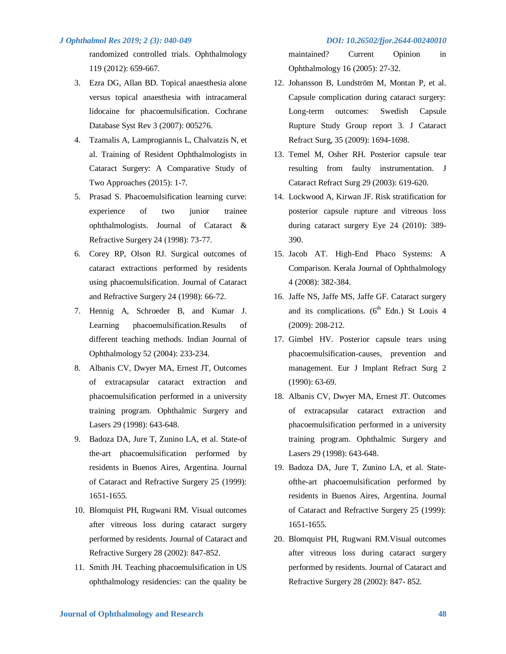randomized controlled trials. Ophthalmology 119 (2012): 659-667.

- 3. Ezra DG, Allan BD. Topical anaesthesia alone versus topical anaesthesia with intracameral lidocaine for phacoemulsification. Cochrane Database Syst Rev 3 (2007): 005276.
- 4. Tzamalis A, Lamprogiannis L, Chalvatzis N, et al. Training of Resident Ophthalmologists in Cataract Surgery: A Comparative Study of Two Approaches (2015): 1-7.
- 5. Prasad S. Phacoemulsification learning curve: experience of two junior trainee ophthalmologists. Journal of Cataract & Refractive Surgery 24 (1998): 73-77.
- 6. Corey RP, Olson RJ. Surgical outcomes of cataract extractions performed by residents using phacoemulsification. Journal of Cataract and Refractive Surgery 24 (1998): 66-72.
- 7. Hennig A, Schroeder B, and Kumar J. Learning phacoemulsification.Results of different teaching methods. Indian Journal of Ophthalmology 52 (2004): 233-234.
- 8. Albanis CV, Dwyer MA, Ernest JT, Outcomes of extracapsular cataract extraction and phacoemulsification performed in a university training program. Ophthalmic Surgery and Lasers 29 (1998): 643-648.
- 9. Badoza DA, Jure T, Zunino LA, et al. State-of the-art phacoemulsification performed by residents in Buenos Aires, Argentina. Journal of Cataract and Refractive Surgery 25 (1999): 1651-1655.
- 10. Blomquist PH, Rugwani RM. Visual outcomes after vitreous loss during cataract surgery performed by residents. Journal of Cataract and Refractive Surgery 28 (2002): 847-852.
- 11. Smith JH. Teaching phacoemulsification in US ophthalmology residencies: can the quality be

maintained? Current Opinion in Ophthalmology 16 (2005): 27-32.

- 12. Johansson B, Lundström M, Montan P, et al. Capsule complication during cataract surgery: Long-term outcomes: Swedish Capsule Rupture Study Group report 3. J Cataract Refract Surg, 35 (2009): 1694-1698.
- 13. Temel M, Osher RH. Posterior capsule tear resulting from faulty instrumentation. J Cataract Refract Surg 29 (2003): 619-620.
- 14. Lockwood A, Kirwan JF. Risk stratification for posterior capsule rupture and vitreous loss during cataract surgery Eye 24 (2010): 389- 390.
- 15. Jacob AT. High-End Phaco Systems: A Comparison. Kerala Journal of Ophthalmology 4 (2008): 382-384.
- 16. Jaffe NS, Jaffe MS, Jaffe GF. Cataract surgery and its complications.  $(6<sup>th</sup> Edn.)$  St Louis 4 (2009): 208-212.
- 17. Gimbel HV. Posterior capsule tears using phacoemulsification-causes, prevention and management. Eur J Implant Refract Surg 2 (1990): 63-69.
- 18. Albanis CV, Dwyer MA, Ernest JT. Outcomes of extracapsular cataract extraction and phacoemulsification performed in a university training program. Ophthalmic Surgery and Lasers 29 (1998): 643-648.
- 19. Badoza DA, Jure T, Zunino LA, et al. Stateofthe-art phacoemulsification performed by residents in Buenos Aires, Argentina. Journal of Cataract and Refractive Surgery 25 (1999): 1651-1655.
- 20. Blomquist PH, Rugwani RM.Visual outcomes after vitreous loss during cataract surgery performed by residents. Journal of Cataract and Refractive Surgery 28 (2002): 847- 852.